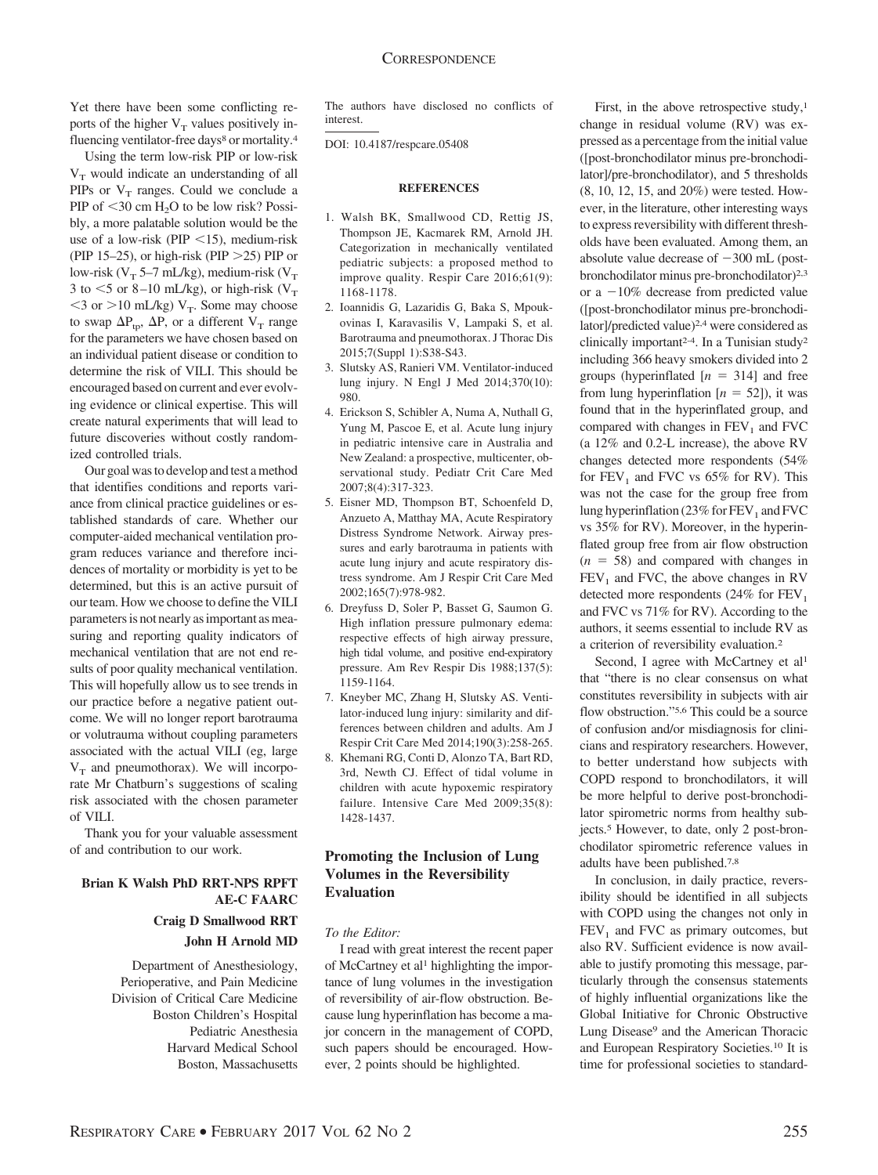Yet there have been some conflicting reports of the higher  $V_T$  values positively influencing ventilator-free days<sup>8</sup> or mortality.<sup>4</sup>

Using the term low-risk PIP or low-risk  $V<sub>T</sub>$  would indicate an understanding of all PIPs or  $V_T$  ranges. Could we conclude a PIP of  $<$ 30 cm H<sub>2</sub>O to be low risk? Possibly, a more palatable solution would be the use of a low-risk (PIP  $\le$ 15), medium-risk (PIP 15 $-25$ ), or high-risk (PIP  $>25$ ) PIP or low-risk ( $V<sub>T</sub>$  5–7 mL/kg), medium-risk ( $V<sub>T</sub>$ 3 to  $<$  5 or 8–10 mL/kg), or high-risk ( $V_T$  $<$ 3 or > 10 mL/kg) V<sub>T</sub>. Some may choose to swap  $\Delta P_{tp}$ ,  $\Delta P$ , or a different V<sub>T</sub> range for the parameters we have chosen based on an individual patient disease or condition to determine the risk of VILI. This should be encouraged based on current and ever evolving evidence or clinical expertise. This will create natural experiments that will lead to future discoveries without costly randomized controlled trials.

Our goal was to develop and test a method that identifies conditions and reports variance from clinical practice guidelines or established standards of care. Whether our computer-aided mechanical ventilation program reduces variance and therefore incidences of mortality or morbidity is yet to be determined, but this is an active pursuit of our team. How we choose to define the VILI parameters is not nearly as important as measuring and reporting quality indicators of mechanical ventilation that are not end results of poor quality mechanical ventilation. This will hopefully allow us to see trends in our practice before a negative patient outcome. We will no longer report barotrauma or volutrauma without coupling parameters associated with the actual VILI (eg, large  $V_T$  and pneumothorax). We will incorporate Mr Chatburn's suggestions of scaling risk associated with the chosen parameter of VILI.

Thank you for your valuable assessment of and contribution to our work.

# **Brian K Walsh PhD RRT-NPS RPFT AE-C FAARC Craig D Smallwood RRT**

### **John H Arnold MD**

Department of Anesthesiology, Perioperative, and Pain Medicine Division of Critical Care Medicine Boston Children's Hospital Pediatric Anesthesia Harvard Medical School Boston, Massachusetts The authors have disclosed no conflicts of interest.

DOI: 10.4187/respcare.05408

### **REFERENCES**

- 1. Walsh BK, Smallwood CD, Rettig JS, Thompson JE, Kacmarek RM, Arnold JH. Categorization in mechanically ventilated pediatric subjects: a proposed method to improve quality. Respir Care 2016;61(9): 1168-1178.
- 2. Ioannidis G, Lazaridis G, Baka S, Mpoukovinas I, Karavasilis V, Lampaki S, et al. Barotrauma and pneumothorax. J Thorac Dis 2015;7(Suppl 1):S38-S43.
- 3. Slutsky AS, Ranieri VM. Ventilator-induced lung injury. N Engl J Med 2014;370(10): 980.
- 4. Erickson S, Schibler A, Numa A, Nuthall G, Yung M, Pascoe E, et al. Acute lung injury in pediatric intensive care in Australia and New Zealand: a prospective, multicenter, observational study. Pediatr Crit Care Med 2007;8(4):317-323.
- 5. Eisner MD, Thompson BT, Schoenfeld D, Anzueto A, Matthay MA, Acute Respiratory Distress Syndrome Network. Airway pressures and early barotrauma in patients with acute lung injury and acute respiratory distress syndrome. Am J Respir Crit Care Med 2002;165(7):978-982.
- 6. Dreyfuss D, Soler P, Basset G, Saumon G. High inflation pressure pulmonary edema: respective effects of high airway pressure, high tidal volume, and positive end-expiratory pressure. Am Rev Respir Dis 1988;137(5): 1159-1164.
- 7. Kneyber MC, Zhang H, Slutsky AS. Ventilator-induced lung injury: similarity and differences between children and adults. Am J Respir Crit Care Med 2014;190(3):258-265.
- 8. Khemani RG, Conti D, Alonzo TA, Bart RD, 3rd, Newth CJ. Effect of tidal volume in children with acute hypoxemic respiratory failure. Intensive Care Med 2009;35(8): 1428-1437.

# **Promoting the Inclusion of Lung Volumes in the Reversibility Evaluation**

### *To the Editor:*

I read with great interest the recent paper of McCartney et al<sup>1</sup> highlighting the importance of lung volumes in the investigation of reversibility of air-flow obstruction. Because lung hyperinflation has become a major concern in the management of COPD, such papers should be encouraged. However, 2 points should be highlighted.

First, in the above retrospective study,<sup>1</sup> change in residual volume (RV) was expressed as a percentage from the initial value ([post-bronchodilator minus pre-bronchodilator]/pre-bronchodilator), and 5 thresholds (8, 10, 12, 15, and 20%) were tested. However, in the literature, other interesting ways to express reversibility with different thresholds have been evaluated. Among them, an absolute value decrease of  $-300$  mL (postbronchodilator minus pre-bronchodilator)2,3 or a  $-10\%$  decrease from predicted value ([post-bronchodilator minus pre-bronchodilator]/predicted value)2,4 were considered as clinically important<sup>2-4</sup>. In a Tunisian study<sup>2</sup> including 366 heavy smokers divided into 2 groups (hyperinflated  $[n = 314]$  and free from lung hyperinflation  $[n = 52]$ , it was found that in the hyperinflated group, and compared with changes in  $FEV<sub>1</sub>$  and  $FVC$ (a 12% and 0.2-L increase), the above RV changes detected more respondents (54% for  $FEV_1$  and  $FVC$  vs 65% for RV). This was not the case for the group free from lung hyperinflation (23% for  $FEV<sub>1</sub>$  and FVC vs 35% for RV). Moreover, in the hyperinflated group free from air flow obstruction  $(n = 58)$  and compared with changes in  $FEV<sub>1</sub>$  and FVC, the above changes in RV detected more respondents  $(24\%$  for  $FEV<sub>1</sub>$ and FVC vs 71% for RV). According to the authors, it seems essential to include RV as a criterion of reversibility evaluation.2

Second, I agree with McCartney et al<sup>1</sup> that "there is no clear consensus on what constitutes reversibility in subjects with air flow obstruction."5,6 This could be a source of confusion and/or misdiagnosis for clinicians and respiratory researchers. However, to better understand how subjects with COPD respond to bronchodilators, it will be more helpful to derive post-bronchodilator spirometric norms from healthy subjects.5 However, to date, only 2 post-bronchodilator spirometric reference values in adults have been published.7,8

In conclusion, in daily practice, reversibility should be identified in all subjects with COPD using the changes not only in  $FEV<sub>1</sub>$  and FVC as primary outcomes, but also RV. Sufficient evidence is now available to justify promoting this message, particularly through the consensus statements of highly influential organizations like the Global Initiative for Chronic Obstructive Lung Disease9 and the American Thoracic and European Respiratory Societies.10 It is time for professional societies to standard